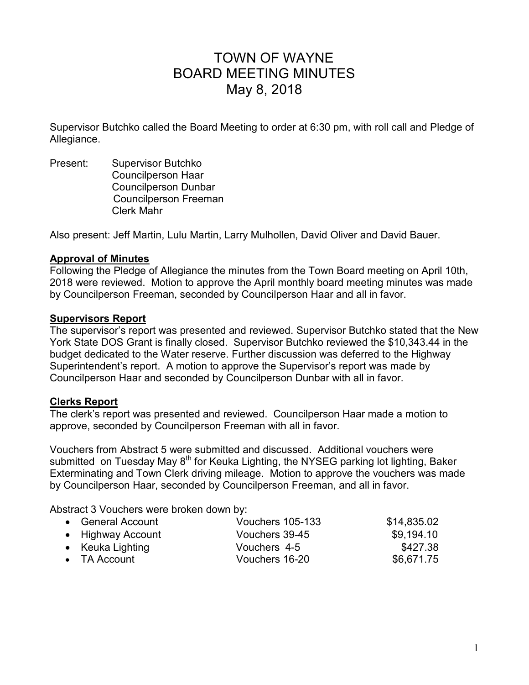# TOWN OF WAYNE BOARD MEETING MINUTES May 8, 2018

Supervisor Butchko called the Board Meeting to order at 6:30 pm, with roll call and Pledge of Allegiance.

Present: Supervisor Butchko Councilperson Haar Councilperson Dunbar Councilperson Freeman Clerk Mahr

Also present: Jeff Martin, Lulu Martin, Larry Mulhollen, David Oliver and David Bauer.

#### **Approval of Minutes**

Following the Pledge of Allegiance the minutes from the Town Board meeting on April 10th, 2018 were reviewed. Motion to approve the April monthly board meeting minutes was made by Councilperson Freeman, seconded by Councilperson Haar and all in favor.

#### **Supervisors Report**

The supervisor's report was presented and reviewed. Supervisor Butchko stated that the New York State DOS Grant is finally closed. Supervisor Butchko reviewed the \$10,343.44 in the budget dedicated to the Water reserve. Further discussion was deferred to the Highway Superintendent's report. A motion to approve the Supervisor's report was made by Councilperson Haar and seconded by Councilperson Dunbar with all in favor.

## **Clerks Report**

The clerk's report was presented and reviewed. Councilperson Haar made a motion to approve, seconded by Councilperson Freeman with all in favor.

Vouchers from Abstract 5 were submitted and discussed. Additional vouchers were submitted on Tuesday May  $8<sup>th</sup>$  for Keuka Lighting, the NYSEG parking lot lighting, Baker Exterminating and Town Clerk driving mileage. Motion to approve the vouchers was made by Councilperson Haar, seconded by Councilperson Freeman, and all in favor.

Abstract 3 Vouchers were broken down by:

| • General Account    | Vouchers 105-133 | \$14,835.02 |
|----------------------|------------------|-------------|
| • Highway Account    | Vouchers 39-45   | \$9,194.10  |
| • Keuka Lighting     | Vouchers 4-5     | \$427.38    |
| $\bullet$ TA Account | Vouchers 16-20   | \$6,671.75  |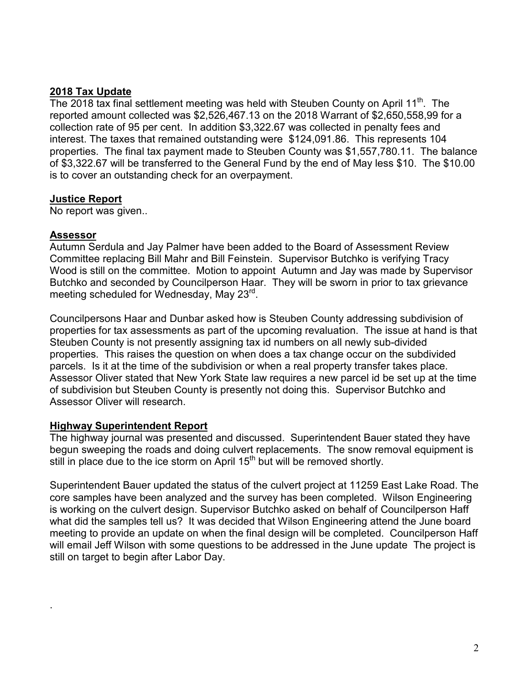# **2018 Tax Update**

The 2018 tax final settlement meeting was held with Steuben County on April 11<sup>th</sup>. The reported amount collected was \$2,526,467.13 on the 2018 Warrant of \$2,650,558,99 for a collection rate of 95 per cent. In addition \$3,322.67 was collected in penalty fees and interest. The taxes that remained outstanding were \$124,091.86. This represents 104 properties. The final tax payment made to Steuben County was \$1,557,780.11. The balance of \$3,322.67 will be transferred to the General Fund by the end of May less \$10. The \$10.00 is to cover an outstanding check for an overpayment.

## **Justice Report**

No report was given..

## **Assessor**

.

Autumn Serdula and Jay Palmer have been added to the Board of Assessment Review Committee replacing Bill Mahr and Bill Feinstein. Supervisor Butchko is verifying Tracy Wood is still on the committee. Motion to appoint Autumn and Jay was made by Supervisor Butchko and seconded by Councilperson Haar. They will be sworn in prior to tax grievance meeting scheduled for Wednesday, May 23<sup>rd</sup>.

Councilpersons Haar and Dunbar asked how is Steuben County addressing subdivision of properties for tax assessments as part of the upcoming revaluation. The issue at hand is that Steuben County is not presently assigning tax id numbers on all newly sub-divided properties. This raises the question on when does a tax change occur on the subdivided parcels. Is it at the time of the subdivision or when a real property transfer takes place. Assessor Oliver stated that New York State law requires a new parcel id be set up at the time of subdivision but Steuben County is presently not doing this. Supervisor Butchko and Assessor Oliver will research.

## **Highway Superintendent Report**

The highway journal was presented and discussed. Superintendent Bauer stated they have begun sweeping the roads and doing culvert replacements. The snow removal equipment is still in place due to the ice storm on April  $15<sup>th</sup>$  but will be removed shortly.

Superintendent Bauer updated the status of the culvert project at 11259 East Lake Road. The core samples have been analyzed and the survey has been completed. Wilson Engineering is working on the culvert design. Supervisor Butchko asked on behalf of Councilperson Haff what did the samples tell us? It was decided that Wilson Engineering attend the June board meeting to provide an update on when the final design will be completed. Councilperson Haff will email Jeff Wilson with some questions to be addressed in the June update The project is still on target to begin after Labor Day.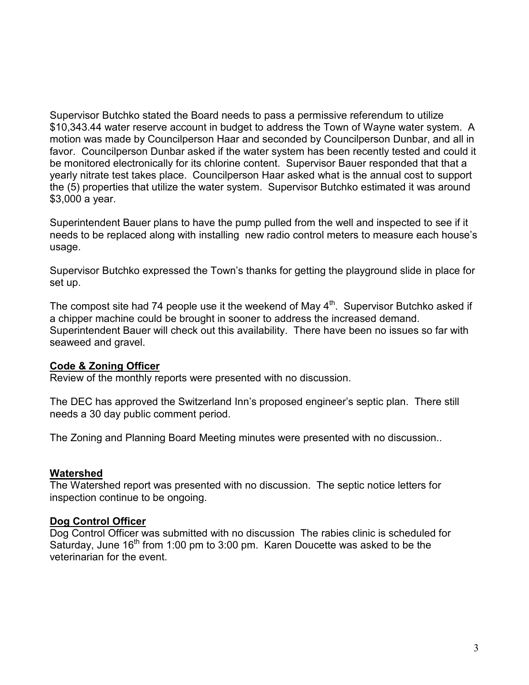Supervisor Butchko stated the Board needs to pass a permissive referendum to utilize \$10,343.44 water reserve account in budget to address the Town of Wayne water system. A motion was made by Councilperson Haar and seconded by Councilperson Dunbar, and all in favor. Councilperson Dunbar asked if the water system has been recently tested and could it be monitored electronically for its chlorine content. Supervisor Bauer responded that that a yearly nitrate test takes place. Councilperson Haar asked what is the annual cost to support the (5) properties that utilize the water system. Supervisor Butchko estimated it was around \$3,000 a year.

Superintendent Bauer plans to have the pump pulled from the well and inspected to see if it needs to be replaced along with installing new radio control meters to measure each house's usage.

Supervisor Butchko expressed the Town's thanks for getting the playground slide in place for set up.

The compost site had 74 people use it the weekend of May  $4<sup>th</sup>$ . Supervisor Butchko asked if a chipper machine could be brought in sooner to address the increased demand. Superintendent Bauer will check out this availability. There have been no issues so far with seaweed and gravel.

# **Code & Zoning Officer**

Review of the monthly reports were presented with no discussion.

The DEC has approved the Switzerland Inn's proposed engineer's septic plan. There still needs a 30 day public comment period.

The Zoning and Planning Board Meeting minutes were presented with no discussion..

## **Watershed**

The Watershed report was presented with no discussion. The septic notice letters for inspection continue to be ongoing.

## **Dog Control Officer**

Dog Control Officer was submitted with no discussion The rabies clinic is scheduled for Saturday, June  $16<sup>th</sup>$  from 1:00 pm to 3:00 pm. Karen Doucette was asked to be the veterinarian for the event.